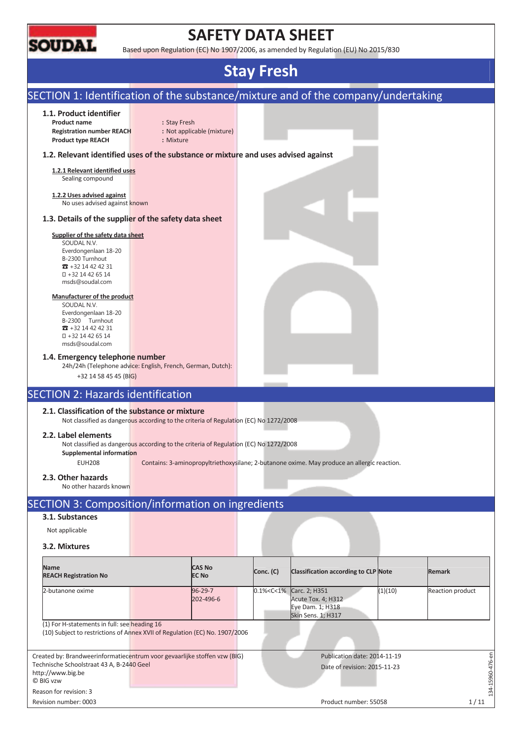

Reason for revision: 3

## **SAFETY DATA SHEET**

Based upon Regulation (EC) No 1907/2006, as amended by Regulation (EU) No 2015/830

## **Stay Fresh**

## SECTION 1: Identification of the substance/mixture and of the company/undertaking **1.1. Product identifier Product name** : Stay Fresh **Registration number REACH :** Not applicable (mixture) **Product type REACH :** Mixture **1.2. Relevant identified uses of the substance or mixture and uses advised against 1.2.1 Relevant identified uses**  Sealing compound **1.2.2 Uses advised against**  No uses advised against known **1.3. Details of the supplier of the safety data sheet Supplier of the safety data sheet**  SOUDAL N.V. Everdongenlaan 18-20 B-2300 Turnhout  $\overline{3}$  +32 14 42 42 31 +32 14 42 65 14 msds@soudal.com **Manufacturer of the product**  SOUDAL N.V. Everdongenlaan 18-20 B-2300 Turnhout  $\overline{3}$  +32 14 42 42 31 +32 14 42 65 14 msds@soudal.com **1.4. Emergency telephone number**  24h/24h (Telephone advice: English, French, German, Dutch): +32 14 58 45 45 (BIG) SECTION 2: Hazards identification **2.1. Classification of the substance or mixture**  Not classified as dangerous according to the criteria of Regulation (EC) No 1272/2008 **2.2. Label elements**  Not classified as dangerous according to the criteria of Regulation (EC) No 1272/2008 **Supplemental information**  EUH208 Contains: 3-aminopropyltriethoxysilane; 2-butanone oxime. May produce an allergic reaction. **2.3. Other hazards**  No other hazards known SECTION 3: Composition/information on ingredients **3.1. Substances**  Not applicable **3.2. Mixtures Name CAS No Conc. (C)** Classification according to CLP Note **Remark REACH Registration No**  2-butanone oxime 96-29-7 0.1%<C<1% Carc. 2; H351 (1)(10) Reaction product 202-496-6 Acute Tox. 4; H312 Eye Dam. 1; H318 Skin Sens. 1; H317 (1) For H-statements in full: see heading 16 (10) Subject to restrictions of Annex XVII of Regulation (EC) No. 1907/2006  $-15960 - 476 - en$ Created by: Brandweerinformatiecentrum voor gevaarlijke stoffen vzw (BIG) Publication date: 2014-11-19 134-15960-476-en Technische Schoolstraat 43 A, B-2440 Geel Date of revision: 2015-11-23 http://www.big.be © BIG vzw

Revision number: 0003 1/11

 $-34$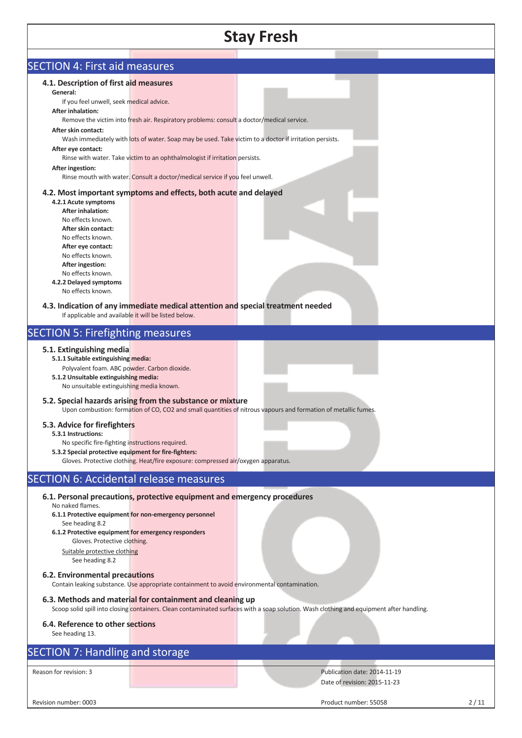| <b>SECTION 4: First aid measures</b><br>4.1. Description of first aid measures<br>General:<br>If you feel unwell, seek medical advice.<br><b>After inhalation:</b><br>After skin contact:<br>After eye contact:<br>After ingestion:<br>4.2.1 Acute symptoms<br><b>After inhalation:</b><br>No effects known.<br>After skin contact:<br>No effects known.                 | Remove the victim into fresh air. Respiratory problems: consult a doctor/medical service.<br>Wash immediately with lots of water. Soap may be used. Take victim to a doctor if irritation persists.<br>Rinse with water. Take victim to an ophthalmologist if irritation persists.<br>Rinse mouth with water. Consult a doctor/medical service if you feel unwell.<br>4.2. Most important symptoms and effects, both acute and delayed |                                                                                                                                          |      |
|--------------------------------------------------------------------------------------------------------------------------------------------------------------------------------------------------------------------------------------------------------------------------------------------------------------------------------------------------------------------------|----------------------------------------------------------------------------------------------------------------------------------------------------------------------------------------------------------------------------------------------------------------------------------------------------------------------------------------------------------------------------------------------------------------------------------------|------------------------------------------------------------------------------------------------------------------------------------------|------|
| After eye contact:<br>No effects known.<br>After ingestion:<br>No effects known.<br>4.2.2 Delayed symptoms<br>No effects known.<br>If applicable and available it will be listed below.                                                                                                                                                                                  | 4.3. Indication of any immediate medical attention and special treatment needed                                                                                                                                                                                                                                                                                                                                                        |                                                                                                                                          |      |
| <b>SECTION 5: Firefighting measures</b>                                                                                                                                                                                                                                                                                                                                  |                                                                                                                                                                                                                                                                                                                                                                                                                                        |                                                                                                                                          |      |
| 5.1. Extinguishing media<br>5.1.1 Suitable extinguishing media:<br>Polyvalent foam. ABC powder. Carbon dioxide.<br>5.1.2 Unsuitable extinguishing media:<br>No unsuitable extinguishing media known.<br>5.3. Advice for firefighters<br>5.3.1 Instructions:<br>No specific fire-fighting instructions required.<br>5.3.2 Special protective equipment for fire-fighters: | 5.2. Special hazards arising from the substance or mixture<br>Gloves. Protective clothing. Heat/fire exposure: compressed air/oxygen apparatus.                                                                                                                                                                                                                                                                                        | Upon combustion: formation of CO, CO2 and small quantities of nitrous vapours and formation of metallic fumes.                           |      |
| <b>SECTION 6: Accidental release measures</b>                                                                                                                                                                                                                                                                                                                            |                                                                                                                                                                                                                                                                                                                                                                                                                                        |                                                                                                                                          |      |
| No naked flames.<br>See heading 8.2<br>6.1.2 Protective equipment for emergency responders<br>Gloves. Protective clothing.<br>Suitable protective clothing<br>See heading 8.2                                                                                                                                                                                            | 6.1. Personal precautions, protective equipment and emergency procedures<br>6.1.1 Protective equipment for non-emergency personnel                                                                                                                                                                                                                                                                                                     |                                                                                                                                          |      |
| 6.2. Environmental precautions                                                                                                                                                                                                                                                                                                                                           | Contain leaking substance. Use appropriate containment to avoid environmental contamination.<br>6.3. Methods and material for containment and cleaning up                                                                                                                                                                                                                                                                              | Scoop solid spill into closing containers. Clean contaminated surfaces with a soap solution. Wash clothing and equipment after handling. |      |
| 6.4. Reference to other sections<br>See heading 13.                                                                                                                                                                                                                                                                                                                      |                                                                                                                                                                                                                                                                                                                                                                                                                                        |                                                                                                                                          |      |
| <b>SECTION 7: Handling and storage</b>                                                                                                                                                                                                                                                                                                                                   |                                                                                                                                                                                                                                                                                                                                                                                                                                        |                                                                                                                                          |      |
| Reason for revision: 3                                                                                                                                                                                                                                                                                                                                                   |                                                                                                                                                                                                                                                                                                                                                                                                                                        | Publication date: 2014-11-19<br>Date of revision: 2015-11-23                                                                             |      |
| Revision number: 0003                                                                                                                                                                                                                                                                                                                                                    |                                                                                                                                                                                                                                                                                                                                                                                                                                        | Product number: 55058                                                                                                                    | 2/11 |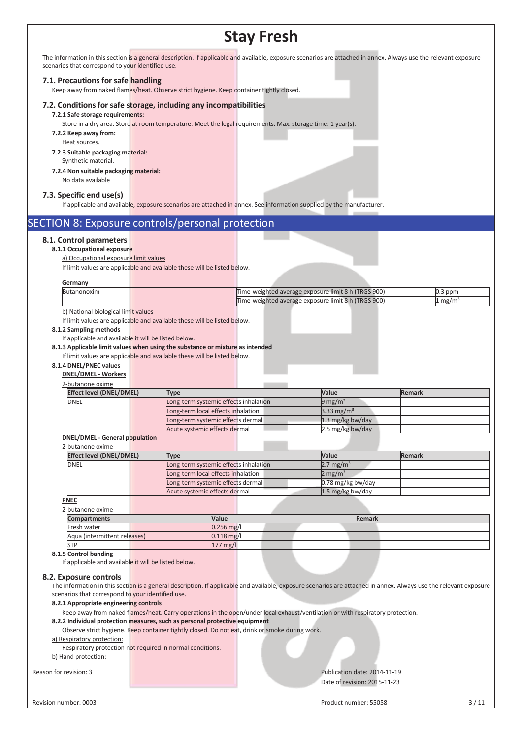The information in this section is a general description. If applicable and available, exposure scenarios are attached in annex. Always use the relevant exposure scenarios that correspond to your identified use.

## **7.1. Precautions for safe handling**

Keep away from naked flames/heat. Observe strict hygiene. Keep container tightly closed.

#### **7.2. Conditions for safe storage, including any incompatibilities**

**7.2.1 Safe storage requirements:** 

Store in a dry area. Store at room temperature. Meet the legal requirements. Max. storage time: 1 year(s).

**7.2.2 Keep away from:** 

Heat sources.

**7.2.3 Suitable packaging material:**  Synthetic material.

**7.2.4 Non suitable packaging material:**

No data available

### **7.3. Specific end use(s)**

If applicable and available, exposure scenarios are attached in annex. See information supplied by the manufacturer

| SECTION 8: Exposure controls/personal protection     |                                                                                                                                                                   |                                                     |               |                    |        |
|------------------------------------------------------|-------------------------------------------------------------------------------------------------------------------------------------------------------------------|-----------------------------------------------------|---------------|--------------------|--------|
| 8.1. Control parameters                              |                                                                                                                                                                   |                                                     |               |                    |        |
| 8.1.1 Occupational exposure                          |                                                                                                                                                                   |                                                     |               |                    |        |
| a) Occupational exposure limit values                |                                                                                                                                                                   |                                                     |               |                    |        |
|                                                      | If limit values are applicable and available these will be listed below.                                                                                          |                                                     |               |                    |        |
|                                                      |                                                                                                                                                                   |                                                     |               |                    |        |
| Germany                                              |                                                                                                                                                                   |                                                     |               |                    |        |
| Butanonoxim                                          |                                                                                                                                                                   | Time-weighted average exposure limit 8 h (TRGS 900) |               | $0.3$ ppm          |        |
|                                                      |                                                                                                                                                                   | Time-weighted average exposure limit 8 h (TRGS 900) |               | $1 \text{ mg/m}^3$ |        |
| b) National biological limit values                  |                                                                                                                                                                   |                                                     |               |                    |        |
|                                                      | If limit values are applicable and available these will be listed below.                                                                                          |                                                     |               |                    |        |
| 8.1.2 Sampling methods                               |                                                                                                                                                                   |                                                     |               |                    |        |
| If applicable and available it will be listed below. |                                                                                                                                                                   |                                                     |               |                    |        |
|                                                      | 8.1.3 Applicable limit values when using the substance or mixture as intended                                                                                     |                                                     |               |                    |        |
|                                                      | If limit values are applicable and available these will be listed below.                                                                                          |                                                     |               |                    |        |
| 8.1.4 DNEL/PNEC values                               |                                                                                                                                                                   |                                                     |               |                    |        |
| <b>DNEL/DMEL - Workers</b>                           |                                                                                                                                                                   |                                                     |               |                    |        |
| 2-butanone oxime                                     |                                                                                                                                                                   |                                                     |               |                    |        |
| <b>Effect level (DNEL/DMEL)</b>                      | <b>Type</b>                                                                                                                                                       | Value                                               |               | <b>Remark</b>      |        |
| <b>DNEL</b>                                          | Long-term systemic effects inhalation                                                                                                                             | $9 \text{ mg/m}^3$                                  |               |                    |        |
|                                                      | Long-term local effects inhalation                                                                                                                                | 3.33 mg/m <sup>3</sup>                              |               |                    |        |
|                                                      | Long-term systemic effects dermal                                                                                                                                 | 1.3 mg/kg bw/day                                    |               |                    |        |
|                                                      | Acute systemic effects dermal                                                                                                                                     | 2.5 mg/kg bw/day                                    |               |                    |        |
| <b>DNEL/DMEL - General population</b>                |                                                                                                                                                                   |                                                     |               |                    |        |
| 2-butanone oxime                                     |                                                                                                                                                                   |                                                     |               |                    |        |
| <b>Effect level (DNEL/DMEL)</b>                      | <b>Type</b>                                                                                                                                                       | Value                                               |               | <b>Remark</b>      |        |
| DNEL                                                 | Long-term systemic effects inhalation                                                                                                                             | $2.7 \text{ mg/m}^3$                                |               |                    |        |
|                                                      | Long-term local effects inhalation                                                                                                                                | $2$ mg/m <sup>3</sup>                               |               |                    |        |
|                                                      | Long-term systemic effects dermal                                                                                                                                 | 0.78 mg/kg bw/day                                   |               |                    |        |
|                                                      | Acute systemic effects dermal                                                                                                                                     | 1.5 mg/kg bw/day                                    |               |                    |        |
| <b>PNEC</b>                                          |                                                                                                                                                                   |                                                     |               |                    |        |
| 2-butanone oxime                                     |                                                                                                                                                                   |                                                     |               |                    |        |
| <b>Compartments</b>                                  | Value                                                                                                                                                             |                                                     | <b>Remark</b> |                    |        |
| Fresh water                                          | 0.256 mg/l                                                                                                                                                        |                                                     |               |                    |        |
| Aqua (intermittent releases)                         | $0.118$ mg/l                                                                                                                                                      |                                                     |               |                    |        |
| <b>STP</b>                                           | 177 mg/l                                                                                                                                                          |                                                     |               |                    |        |
| 8.1.5 Control banding                                |                                                                                                                                                                   |                                                     |               |                    |        |
| If applicable and available it will be listed below. |                                                                                                                                                                   |                                                     |               |                    |        |
| 8.2. Exposure controls                               |                                                                                                                                                                   |                                                     |               |                    |        |
|                                                      | The information in this section is a general description. If applicable and available, exposure scenarios are attached in annex. Always use the relevant exposure |                                                     |               |                    |        |
| scenarios that correspond to your identified use.    |                                                                                                                                                                   |                                                     |               |                    |        |
| 8.2.1 Appropriate engineering controls               |                                                                                                                                                                   |                                                     |               |                    |        |
|                                                      | Keep away from naked flames/heat. Carry operations in the open/under local exhaust/ventilation or with respiratory protection.                                    |                                                     |               |                    |        |
|                                                      | 8.2.2 Individual protection measures, such as personal protective equipment                                                                                       |                                                     |               |                    |        |
|                                                      | Observe strict hygiene. Keep container tightly closed. Do not eat, drink or smoke during work.                                                                    |                                                     |               |                    |        |
| a) Respiratory protection:                           |                                                                                                                                                                   |                                                     |               |                    |        |
|                                                      | Respiratory protection not required in normal conditions.                                                                                                         |                                                     |               |                    |        |
| b) Hand protection:                                  |                                                                                                                                                                   |                                                     |               |                    |        |
|                                                      |                                                                                                                                                                   |                                                     |               |                    |        |
| Reason for revision: 3                               |                                                                                                                                                                   | Publication date: 2014-11-19                        |               |                    |        |
|                                                      |                                                                                                                                                                   | Date of revision: 2015-11-23                        |               |                    |        |
|                                                      |                                                                                                                                                                   |                                                     |               |                    |        |
| Revision number: 0003                                |                                                                                                                                                                   | Product number: 55058                               |               |                    | $3/11$ |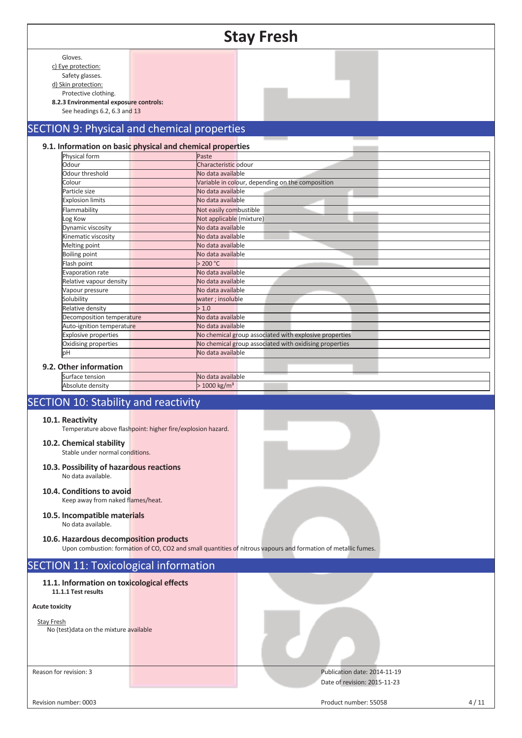|                                                                |                                                             | <b>Stay Fresh</b>                                                                                              |
|----------------------------------------------------------------|-------------------------------------------------------------|----------------------------------------------------------------------------------------------------------------|
|                                                                |                                                             |                                                                                                                |
| Gloves.                                                        |                                                             |                                                                                                                |
| c) Eye protection:                                             |                                                             |                                                                                                                |
| Safety glasses.                                                |                                                             |                                                                                                                |
| d) Skin protection:                                            |                                                             |                                                                                                                |
| Protective clothing.<br>8.2.3 Environmental exposure controls: |                                                             |                                                                                                                |
| See headings 6.2, 6.3 and 13                                   |                                                             |                                                                                                                |
|                                                                |                                                             |                                                                                                                |
|                                                                | <b>SECTION 9: Physical and chemical properties</b>          |                                                                                                                |
|                                                                |                                                             |                                                                                                                |
|                                                                | 9.1. Information on basic physical and chemical properties  |                                                                                                                |
| Physical form                                                  | Paste                                                       |                                                                                                                |
| Odour                                                          | Characteristic odour                                        |                                                                                                                |
| Odour threshold<br>Colour                                      | No data available                                           |                                                                                                                |
| Particle size                                                  | No data available                                           | Variable in colour, depending on the composition                                                               |
| <b>Explosion limits</b>                                        | No data available                                           |                                                                                                                |
| Flammability                                                   | Not easily combustible                                      |                                                                                                                |
| Log Kow                                                        | Not applicable (mixture)                                    |                                                                                                                |
| Dynamic viscosity                                              | No data available                                           |                                                                                                                |
| Kinematic viscosity                                            | No data available                                           |                                                                                                                |
| Melting point                                                  | No data available                                           |                                                                                                                |
| <b>Boiling point</b>                                           | No data available                                           |                                                                                                                |
| Flash point                                                    | > 200 °C                                                    |                                                                                                                |
| Evaporation rate                                               | No data available                                           |                                                                                                                |
| Relative vapour density                                        | No data available                                           |                                                                                                                |
| Vapour pressure                                                | No data available                                           |                                                                                                                |
| Solubility                                                     | water ; insoluble                                           |                                                                                                                |
| Relative density                                               | > 1.0                                                       |                                                                                                                |
| Decomposition temperature                                      | No data available                                           |                                                                                                                |
| Auto-ignition temperature                                      | No data available                                           |                                                                                                                |
| <b>Explosive properties</b>                                    |                                                             | No chemical group associated with explosive properties                                                         |
| Oxidising properties<br>þН                                     | No data available                                           | No chemical group associated with oxidising properties                                                         |
|                                                                |                                                             |                                                                                                                |
| 9.2. Other information                                         |                                                             |                                                                                                                |
| Surface tension                                                | No data available                                           |                                                                                                                |
| Absolute density                                               | $>1000$ kg/m <sup>3</sup>                                   |                                                                                                                |
| <b>SECTION 10: Stability and reactivity</b>                    |                                                             |                                                                                                                |
|                                                                |                                                             |                                                                                                                |
| 10.1. Reactivity                                               |                                                             |                                                                                                                |
|                                                                | Temperature above flashpoint: higher fire/explosion hazard. |                                                                                                                |
|                                                                |                                                             |                                                                                                                |
| 10.2. Chemical stability<br>Stable under normal conditions.    |                                                             |                                                                                                                |
|                                                                |                                                             |                                                                                                                |
| 10.3. Possibility of hazardous reactions                       |                                                             |                                                                                                                |
| No data available.                                             |                                                             |                                                                                                                |
|                                                                |                                                             |                                                                                                                |
| 10.4. Conditions to avoid                                      |                                                             |                                                                                                                |
| Keep away from naked flames/heat.                              |                                                             |                                                                                                                |
| 10.5. Incompatible materials                                   |                                                             |                                                                                                                |
| No data available.                                             |                                                             |                                                                                                                |
|                                                                |                                                             |                                                                                                                |
| 10.6. Hazardous decomposition products                         |                                                             |                                                                                                                |
|                                                                |                                                             | Upon combustion: formation of CO, CO2 and small quantities of nitrous vapours and formation of metallic fumes. |
| <b>SECTION 11: Toxicological information</b>                   |                                                             |                                                                                                                |
|                                                                |                                                             |                                                                                                                |
| 11.1. Information on toxicological effects                     |                                                             |                                                                                                                |
| 11.1.1 Test results                                            |                                                             |                                                                                                                |
|                                                                |                                                             |                                                                                                                |
| <b>Acute toxicity</b>                                          |                                                             |                                                                                                                |
| <b>Stay Fresh</b>                                              |                                                             |                                                                                                                |
| No (test) data on the mixture available                        |                                                             |                                                                                                                |
|                                                                |                                                             |                                                                                                                |
|                                                                |                                                             |                                                                                                                |
|                                                                |                                                             |                                                                                                                |
| Reason for revision: 3                                         |                                                             | Publication date: 2014-11-19                                                                                   |
|                                                                |                                                             | Date of revision: 2015-11-23                                                                                   |
|                                                                |                                                             |                                                                                                                |
|                                                                |                                                             |                                                                                                                |
| Revision number: 0003                                          |                                                             | Product number: 55058<br>4/11                                                                                  |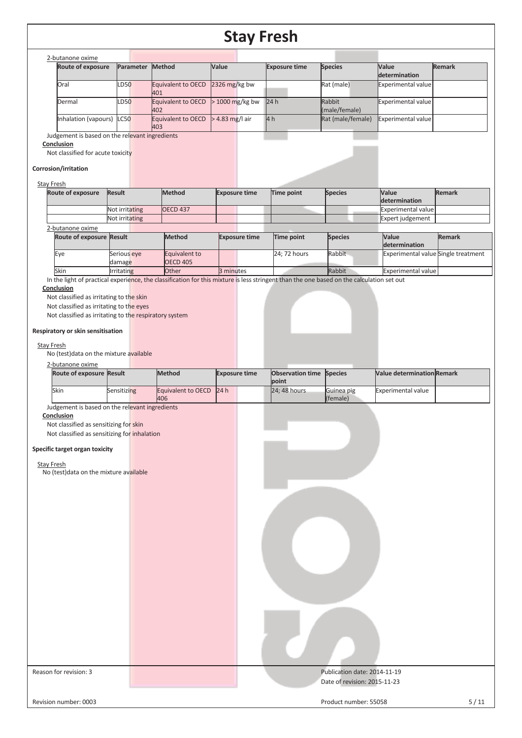|--|

| <b>Route of exposure</b> | Parameter   | <b>Method</b>             | Value             | <b>Exposure time</b> | <b>Species</b>          | <b>Value</b><br>determination | <b>Remark</b> |
|--------------------------|-------------|---------------------------|-------------------|----------------------|-------------------------|-------------------------------|---------------|
| Oral                     | <b>LD50</b> | Equivalent to OECD<br>401 | 2326 mg/kg bw     |                      | Rat (male)              | <b>Experimental value</b>     |               |
| Dermal                   | LD50        | Equivalent to OECD<br>402 | $>$ 1000 mg/kg bw | 24h                  | Rabbit<br>(male/female) | Experimental value            |               |
| Inhalation (vapours)     | LC50        | Equivalent to OECD<br>403 | $>$ 4.83 mg/l air | 4h                   | Rat (male/female)       | Experimental value            |               |

Judgement is based on the relevant ingredients

#### **Conclusion**

Not classified for acute toxicity

#### **Corrosion/irritation**

## Stay Fresh

| . |                          |                |                 |                      |            |                |                    |               |
|---|--------------------------|----------------|-----------------|----------------------|------------|----------------|--------------------|---------------|
|   | <b>Route of exposure</b> | <b>Result</b>  | <b>Method</b>   | <b>Exposure time</b> | Time point | <b>Species</b> | <b>Value</b>       | <b>Remark</b> |
|   |                          |                |                 |                      |            |                | determination      |               |
|   |                          | Not irritating | <b>OECD 437</b> |                      |            |                | Experimental value |               |
|   |                          | Not irritating |                 |                      |            |                | Expert judgement   |               |
|   | 2-butanone oxime         |                |                 |                      |            |                |                    |               |

| <b>Route of exposure Result</b> |                   | <b>Method</b>   | <b>Exposure time</b> | Time point   | <b>Species</b> | <b>Value</b>                        | <b>Remark</b> |
|---------------------------------|-------------------|-----------------|----------------------|--------------|----------------|-------------------------------------|---------------|
|                                 |                   |                 |                      |              |                | determination                       |               |
| Eve                             | Serious eve       | Equivalent to   |                      | 24: 72 hours | Rabbit         | Experimental value Single treatment |               |
|                                 | damage            | <b>OECD 405</b> |                      |              |                |                                     |               |
| Skin                            | <b>Irritating</b> | <b>Other</b>    | 3 minutes            |              | Rabbit         | <b>Experimental value</b>           |               |

In the light of practical experience, the classification for this mixture is less stringent than the one based on the calculation set out

#### **Conclusion**

Not classified as irritating to the skin

Not classified as irritating to the eyes

Not classified as irritating to the respiratory system

#### **Respiratory or skin sensitisation**

### Stay Fresh

No (test)data on the mixture available

| 2-butanone oxime                |             |                         |                      |                                 |            |                                   |  |
|---------------------------------|-------------|-------------------------|----------------------|---------------------------------|------------|-----------------------------------|--|
| <b>Route of exposure Result</b> |             | <b>Method</b>           | <b>Exposure time</b> | <b>Observation time Species</b> |            | <b>Nalue determination Remark</b> |  |
|                                 |             |                         |                      | <b>point</b>                    |            |                                   |  |
| Skin                            | Sensitizing | Equivalent to OECD 24 h |                      | $24:48$ hours                   | Guinea pig | <b>Experimental value</b>         |  |
|                                 |             | 406                     |                      |                                 | (female)   |                                   |  |

Judgement is based on the relevant ingredients

## **Conclusion**

Not classified as sensitizing for skin

Not classified as sensitizing for inhalation

### **Specific target organ toxicity**

## Stay Fresh

No (test)data on the mixture available

| Reason for revision: 3 | Publication date: 2014-11-19<br>Date of revision: 2015-11-23 |        |
|------------------------|--------------------------------------------------------------|--------|
| Revision number: 0003  | Product number: 55058                                        | $5/11$ |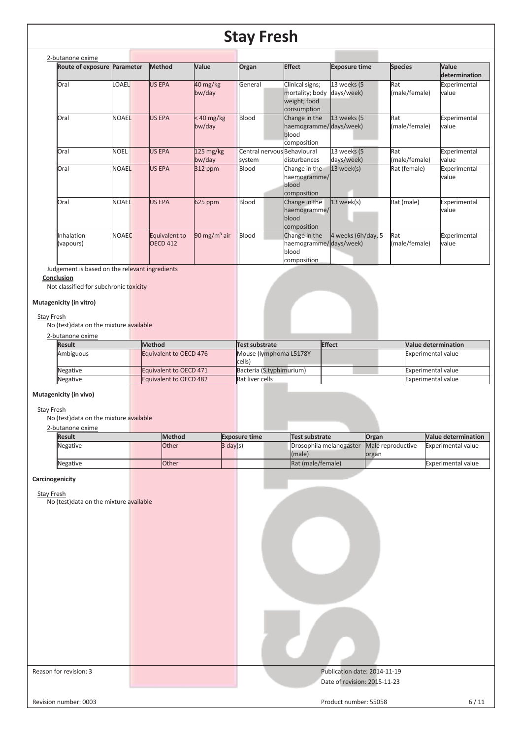| 2-butanone oxime            |              |                                  |                         |                                       |                                                                   |                           |                      |                        |
|-----------------------------|--------------|----------------------------------|-------------------------|---------------------------------------|-------------------------------------------------------------------|---------------------------|----------------------|------------------------|
| Route of exposure Parameter |              | Method                           | Value                   | Organ                                 | <b>Effect</b>                                                     | <b>Exposure time</b>      | <b>Species</b>       | Value<br>determination |
| Oral                        | LOAEL        | <b>US EPA</b>                    | 40 mg/kg<br>bw/day      | General                               | Clinical signs;<br>mortality; body<br>weight; food<br>consumption | 13 weeks (5<br>days/week) | Rat<br>(male/female) | Experimental<br>value  |
| Oral                        | <b>NOAEL</b> | <b>US EPA</b>                    | $< 40$ mg/kg<br>bw/day  | Blood                                 | Change in the<br>haemogramme/days/week)<br>blood<br>composition   | 13 weeks (5               | Rat<br>(male/female) | Experimental<br>value  |
| Oral                        | <b>NOEL</b>  | <b>US EPA</b>                    | 125 mg/kg<br>bw/day     | Central nervous Behavioural<br>system | disturbances                                                      | 13 weeks (5<br>days/week) | Rat<br>(male/female) | Experimental<br>value  |
| Oral                        | <b>NOAEL</b> | <b>US EPA</b>                    | 312 ppm                 | Blood                                 | Change in the<br>haemogramme/<br>blood<br>composition             | $13$ week(s)              | Rat (female)         | Experimental<br>value  |
| Oral                        | <b>NOAEL</b> | <b>US EPA</b>                    | 625 ppm                 | Blood                                 | Change in the<br>haemogramme/<br>blood<br>composition             | $13$ week(s)              | Rat (male)           | Experimental<br>value  |
| Inhalation<br>(vapours)     | <b>NOAEC</b> | Equivalent to<br><b>OECD 412</b> | $90 \text{ mg/m}^3$ air | Blood                                 | Change in the<br>haemogramme/days/week)<br>blood<br>composition   | 4 weeks (6h/day, 5        | Rat<br>(male/female) | Experimental<br>value  |

Judgement is based on the relevant ingredients

**Conclusion** 

Not classified for subchronic toxicity

## **Mutagenicity (in vitro)**

#### Stay Fresh

No (test)data on the mixture available

## 2-butanone oxime

| <b>Result</b> | <b>Method</b>          | Test substrate                   | <b>Effect</b> | <b>Nalue determination</b> |
|---------------|------------------------|----------------------------------|---------------|----------------------------|
| Ambiguous     | Equivalent to OECD 476 | Mouse (lymphoma L5178Y<br>cells) |               | <b>Experimental value</b>  |
| Negative      | Equivalent to OECD 471 | Bacteria (S.typhimurium)         |               | <b>Experimental value</b>  |
| Negative      | Equivalent to OECD 482 | Rat liver cells                  |               | <b>Experimental value</b>  |
|               |                        |                                  |               |                            |

## **Mutagenicity (in vivo)**

#### Stay Fresh

No (test)data on the mixture available

## 2-butanone oxime

| <b>Result</b> |  | <b>Method</b> | <b>Exposure time</b> | Test substrate          | Organ             | <b>Nalue determination</b> |
|---------------|--|---------------|----------------------|-------------------------|-------------------|----------------------------|
| Negative      |  | <b>Other</b>  | $3 \text{ day}(s)$   | Drosophila melanogaster | Male reproductive | Experimental value         |
|               |  |               |                      | (male)                  | organ             |                            |
| Negative      |  | <b>Other</b>  |                      | Rat (male/female)       |                   | <b>Experimental value</b>  |
|               |  |               |                      |                         |                   |                            |

### **Carcinogenicity**

Stay Fresh

No (test)data on the mixture available

| No (test)data on the mixture available |                                                              |        |
|----------------------------------------|--------------------------------------------------------------|--------|
| Reason for revision: 3                 | Publication date: 2014-11-19<br>Date of revision: 2015-11-23 |        |
| Revision number: 0003                  | Product number: 55058                                        | $6/11$ |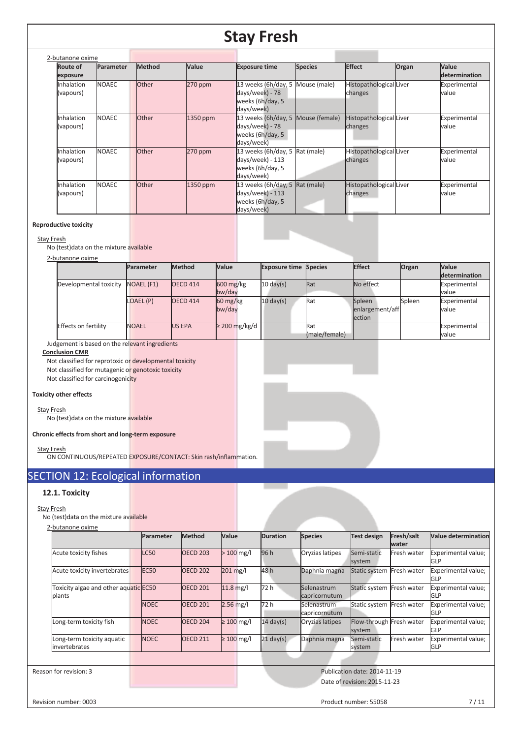| 2-butanone oxime        |              |               |           |                                                                                             |                |                                    |       |                        |
|-------------------------|--------------|---------------|-----------|---------------------------------------------------------------------------------------------|----------------|------------------------------------|-------|------------------------|
| Route of<br>exposure    | Parameter    | <b>Method</b> | Value     | <b>Exposure time</b>                                                                        | <b>Species</b> | <b>Effect</b>                      | Organ | Value<br>determination |
| Inhalation<br>(vapours) | <b>NOAEC</b> | <b>Other</b>  | $270$ ppm | 13 weeks (6h/day, 5 Mouse (male)<br>days/week) - 78<br>weeks (6h/day, 5<br>days/week)       |                | Histopathological Liver<br>changes |       | Experimental<br>value  |
| Inhalation<br>(vapours) | <b>NOAEC</b> | <b>Other</b>  | 1350 ppm  | 13 weeks (6h/day, 5 Mouse (female)<br>days/week) - 78<br>weeks (6h/day, 5<br>days/week)     |                | Histopathological Liver<br>changes |       | Experimental<br>value  |
| Inhalation<br>(vapours) | <b>NOAEC</b> | <b>Other</b>  | 270 ppm   | 13 weeks (6h/day, 5 Rat (male)<br>days/week) - 113<br>weeks (6h/day, 5<br>days/week)        |                | Histopathological Liver<br>changes |       | Experimental<br>value  |
| Inhalation<br>(vapours) | <b>NOAEC</b> | <b>Other</b>  | 1350 ppm  | 13 weeks ( $6h/day$ , 5 $Rate$ (male)<br>days/week) - 113<br>weeks (6h/day, 5<br>days/week) |                | Histopathological Liver<br>changes |       | Experimental<br>value  |

### **Reproductive toxicity**

#### Stay Fresh

No (test)data on the mixture available

#### 2-butanone oxime

|                             | Parameter         | <b>Method</b>   | Value                             | <b>Exposure time Species</b> |               | Effect          | Organ  | <b>Value</b>  |
|-----------------------------|-------------------|-----------------|-----------------------------------|------------------------------|---------------|-----------------|--------|---------------|
|                             |                   |                 |                                   |                              |               |                 |        | determination |
| Developmental toxicity      | <b>NOAEL (F1)</b> | <b>OECD 414</b> | $600 \frac{\text{mg}}{\text{kg}}$ | $10 \text{ day(s)}$          | Rat           | No effect       |        | Experimental  |
|                             |                   |                 | bw/day                            |                              |               |                 |        | value         |
|                             | LOAEL (P)         | <b>OECD 414</b> | $60 \frac{\text{mg}}{\text{kg}}$  | $10 \text{ day(s)}$          | Rat           | Spleen          | Spleen | Experimental  |
|                             |                   |                 | bw/day                            |                              |               | enlargement/aff |        | value         |
|                             |                   |                 |                                   |                              |               | <b>lection</b>  |        |               |
| <b>Effects on fertility</b> | <b>NOAEL</b>      | US EPA          | $\geq$ 200 mg/kg/d                |                              | Rat           |                 |        | Experimental  |
|                             |                   |                 |                                   |                              | (male/female) |                 |        | value         |

Judgement is based on the relevant ingredients

### **Conclusion CMR**

Not classified for reprotoxic or developmental toxicity Not classified for mutagenic or genotoxic toxicity Not classified for carcinogenicity

## **Toxicity other effects**

#### Stay Fresh

No (test)data on the mixture available

## **Chronic effects from short and long-term exposure**

Stay Fresh

ON CONTINUOUS/REPEATED EXPOSURE/CONTACT: Skin rash/inflammation.

## SECTION 12: Ecological information

## **12.1. Toxicity**

### Stay Fresh

No (test)data on the mixture available

|                                                 | Parameter        | Method          | Value           | <b>Duration</b>     | <b>Species</b>               | <b>Test design</b>                 | Fresh/salt<br>water | <b>Value determination</b>        |
|-------------------------------------------------|------------------|-----------------|-----------------|---------------------|------------------------------|------------------------------------|---------------------|-----------------------------------|
| Acute toxicity fishes                           | LC50             | <b>OECD 203</b> | $>100$ mg/l     | 96 h                | Oryzias latipes              | Semi-static<br>system              | Fresh water         | Experimental value;<br>GLP        |
| Acute toxicity invertebrates                    | EC <sub>50</sub> | <b>OECD 202</b> | 201 mg/l        | 48 h                | Daphnia magna                | <b>Static system</b>               | Fresh water         | Experimental value;<br><b>GLP</b> |
| Toxicity algae and other aquatic EC50<br>plants |                  | <b>OECD 201</b> | $11.8$ mg/l     | 72 h                | Selenastrum<br>capricornutum | Static system                      | Fresh water         | Experimental value;<br>GLP        |
|                                                 | <b>NOEC</b>      | <b>OECD 201</b> | $2.56$ mg/l     | 72 h                | Selenastrum<br>capricornutum | Static system Fresh water          |                     | Experimental value;<br><b>GLP</b> |
| Long-term toxicity fish                         | <b>NOEC</b>      | <b>OECD 204</b> | $\geq 100$ mg/l | $14 \text{ day(s)}$ | Oryzias latipes              | Flow-through Fresh water<br>system |                     | Experimental value;<br>GLP        |
| Long-term toxicity aquatic<br>invertebrates     | <b>NOEC</b>      | <b>OECD 211</b> | $\geq 100$ mg/l | $21$ day(s)         | Daphnia magna                | Semi-static<br>system              | Fresh water         | Experimental value;<br><b>GLP</b> |

Reason for revision: 3 Publication date: 2014-11-19 Date of revision: 2015-11-23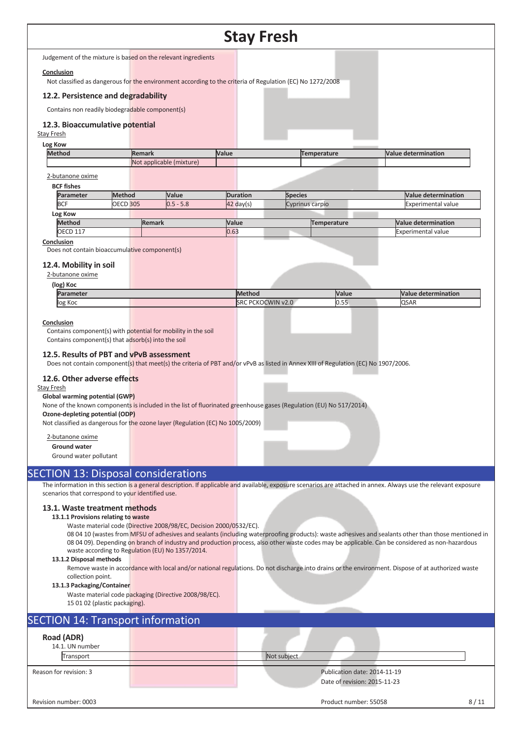|                                                                   |                               |                                                                                                                    |                 | <b>Stay Fresh</b> |                                                              |                                                                                                                                                                   |
|-------------------------------------------------------------------|-------------------------------|--------------------------------------------------------------------------------------------------------------------|-----------------|-------------------|--------------------------------------------------------------|-------------------------------------------------------------------------------------------------------------------------------------------------------------------|
|                                                                   |                               | Judgement of the mixture is based on the relevant ingredients                                                      |                 |                   |                                                              |                                                                                                                                                                   |
| Conclusion                                                        |                               | Not classified as dangerous for the environment according to the criteria of Regulation (EC) No 1272/2008          |                 |                   |                                                              |                                                                                                                                                                   |
| 12.2. Persistence and degradability                               |                               |                                                                                                                    |                 |                   |                                                              |                                                                                                                                                                   |
| Contains non readily biodegradable component(s)                   |                               |                                                                                                                    |                 |                   |                                                              |                                                                                                                                                                   |
|                                                                   |                               |                                                                                                                    |                 |                   |                                                              |                                                                                                                                                                   |
| 12.3. Bioaccumulative potential<br><b>Stay Fresh</b>              |                               |                                                                                                                    |                 |                   |                                                              |                                                                                                                                                                   |
| Log Kow                                                           |                               |                                                                                                                    |                 |                   |                                                              |                                                                                                                                                                   |
| <b>Method</b>                                                     |                               | <b>Remark</b><br>Not applicable (mixture)                                                                          | Value           |                   | <b>Temperature</b>                                           | <b>Value determination</b>                                                                                                                                        |
|                                                                   |                               |                                                                                                                    |                 |                   |                                                              |                                                                                                                                                                   |
| 2-butanone oxime<br><b>BCF fishes</b>                             |                               |                                                                                                                    |                 |                   |                                                              |                                                                                                                                                                   |
| Parameter                                                         | <b>Method</b>                 | Value                                                                                                              | <b>Duration</b> | <b>Species</b>    |                                                              | <b>Value determination</b>                                                                                                                                        |
| <b>BCF</b>                                                        | <b>OECD 305</b>               | $0.5 - 5.8$                                                                                                        | $42$ day(s)     | Cyprinus carpio   |                                                              | <b>Experimental value</b>                                                                                                                                         |
| Log Kow<br><b>Method</b>                                          |                               | <b>Remark</b>                                                                                                      | Value           |                   | <b>Temperature</b>                                           | <b>Value determination</b>                                                                                                                                        |
| <b>OECD 117</b>                                                   |                               |                                                                                                                    | 0.63            |                   |                                                              | Experimental value                                                                                                                                                |
| Conclusion                                                        |                               |                                                                                                                    |                 |                   |                                                              |                                                                                                                                                                   |
| Does not contain bioaccumulative component(s)                     |                               |                                                                                                                    |                 |                   |                                                              |                                                                                                                                                                   |
| 12.4. Mobility in soil                                            |                               |                                                                                                                    |                 |                   |                                                              |                                                                                                                                                                   |
| 2-butanone oxime<br>(log) Koc                                     |                               |                                                                                                                    |                 |                   |                                                              |                                                                                                                                                                   |
| Parameter                                                         |                               |                                                                                                                    | <b>Method</b>   |                   | Value                                                        | <b>Value determination</b>                                                                                                                                        |
| log Koc                                                           |                               |                                                                                                                    |                 | SRC PCKOCWIN v2.0 | 0.55                                                         | <b>QSAR</b>                                                                                                                                                       |
| Global warming potential (GWP)<br>Ozone-depleting potential (ODP) |                               | None of the known components is included in the list of fluorinated greenhouse gases (Regulation (EU) No 517/2014) |                 |                   |                                                              |                                                                                                                                                                   |
|                                                                   |                               | Not classified as dangerous for the ozone layer (Regulation (EC) No 1005/2009)                                     |                 |                   |                                                              |                                                                                                                                                                   |
| 2-butanone oxime                                                  |                               |                                                                                                                    |                 |                   |                                                              |                                                                                                                                                                   |
| <b>Ground water</b><br>Ground water pollutant                     |                               |                                                                                                                    |                 |                   |                                                              |                                                                                                                                                                   |
|                                                                   |                               |                                                                                                                    |                 |                   |                                                              |                                                                                                                                                                   |
|                                                                   |                               | <b>SECTION 13: Disposal considerations</b>                                                                         |                 |                   |                                                              | The information in this section is a general description. If applicable and available, exposure scenarios are attached in annex. Always use the relevant exposure |
| scenarios that correspond to your identified use.                 |                               |                                                                                                                    |                 |                   |                                                              |                                                                                                                                                                   |
| 13.1. Waste treatment methods                                     |                               |                                                                                                                    |                 |                   |                                                              |                                                                                                                                                                   |
| 13.1.1 Provisions relating to waste                               |                               |                                                                                                                    |                 |                   |                                                              |                                                                                                                                                                   |
|                                                                   |                               | Waste material code (Directive 2008/98/EC, Decision 2000/0532/EC).                                                 |                 |                   |                                                              | 08 04 10 (wastes from MFSU of adhesives and sealants (including waterproofing products): waste adhesives and sealants other than those mentioned in               |
|                                                                   |                               |                                                                                                                    |                 |                   |                                                              | 08 04 09). Depending on branch of industry and production process, also other waste codes may be applicable. Can be considered as non-hazardous                   |
|                                                                   |                               | waste according to Regulation (EU) No 1357/2014.                                                                   |                 |                   |                                                              |                                                                                                                                                                   |
| 13.1.2 Disposal methods                                           |                               |                                                                                                                    |                 |                   |                                                              | Remove waste in accordance with local and/or national regulations. Do not discharge into drains or the environment. Dispose of at authorized waste                |
| collection point.                                                 |                               |                                                                                                                    |                 |                   |                                                              |                                                                                                                                                                   |
| 13.1.3 Packaging/Container                                        |                               | Waste material code packaging (Directive 2008/98/EC).                                                              |                 |                   |                                                              |                                                                                                                                                                   |
|                                                                   | 15 01 02 (plastic packaging). |                                                                                                                    |                 |                   |                                                              |                                                                                                                                                                   |
|                                                                   |                               | <b>SECTION 14: Transport information</b>                                                                           |                 |                   |                                                              |                                                                                                                                                                   |
|                                                                   |                               |                                                                                                                    |                 |                   |                                                              |                                                                                                                                                                   |
| Road (ADR)<br>14.1. UN number                                     |                               |                                                                                                                    |                 |                   |                                                              |                                                                                                                                                                   |
| Transport                                                         |                               |                                                                                                                    |                 | Not subject       |                                                              |                                                                                                                                                                   |
|                                                                   |                               |                                                                                                                    |                 |                   |                                                              |                                                                                                                                                                   |
| Reason for revision: 3                                            |                               |                                                                                                                    |                 |                   | Publication date: 2014-11-19<br>Date of revision: 2015-11-23 |                                                                                                                                                                   |
|                                                                   |                               |                                                                                                                    |                 |                   |                                                              |                                                                                                                                                                   |
| Revision number: 0003                                             |                               |                                                                                                                    |                 |                   | Product number: 55058                                        | 8/11                                                                                                                                                              |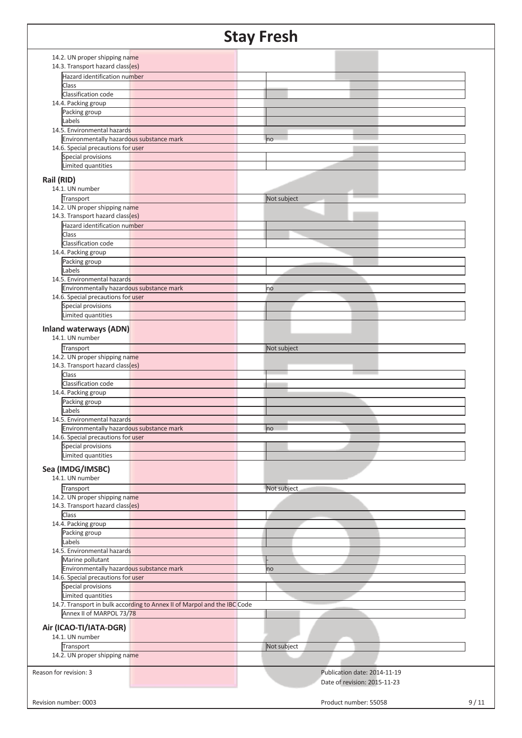## **Stay Fresh**  14.2. UN proper shipping name 14.3. Transport hazard class(es) Hazard identification number Class Classification code 14.4. Packing group Packing group Labels 14.5. Environmental hazards Environmentally hazardous substance mark now all the model of the model of the model of the model of the model 14.6. Special precautions for user Special provisions Limited quantities **Rail (RID)**  14.1. UN number **Transport** Not subject 14.2. UN proper shipping name 14.3. Transport hazard class(es) Hazard identification number Class Classification code 14.4. Packing group Packing group Labels 14.5. Environmental hazards Environmentally hazardous substance mark no matches and the matches has no 14.6. Special precautions for user Special provisions Limited quantities **Inland waterways (ADN)**  14.1. UN number Transport Not subject 14.2. UN proper shipping name 14.3. Transport hazard class(es) Class Classification code 14.4. Packing group Packing group Labels 14.5. Environmental hazards Environmentally hazardous substance mark no matter that the no 14.6. Special precautions for user Special provisions Limited quantities **Sea (IMDG/IMSBC)**  14.1. UN number Transport Not subject 14.2. UN proper shipping name 14.3. Transport hazard class(es) **Class** 14.4. Packing group Packing group Labels 14.5. Environmental hazards Marine pollutant Environmentally hazardous substance mark now all the match of the match of the match of the match of the match 14.6. Special precautions for user Special provisions Limited quantities 14.7. Transport in bulk according to Annex II of Marpol and the IBC Code Annex II of MARPOL 73/78 **Air (ICAO-TI/IATA-DGR)**  14.1. UN number Transport Not subject 14.2. UN proper shipping name Reason for revision: 3 Publication date: 2014-11-19 Date of revision: 2015-11-23 Revision number: 0003 9/11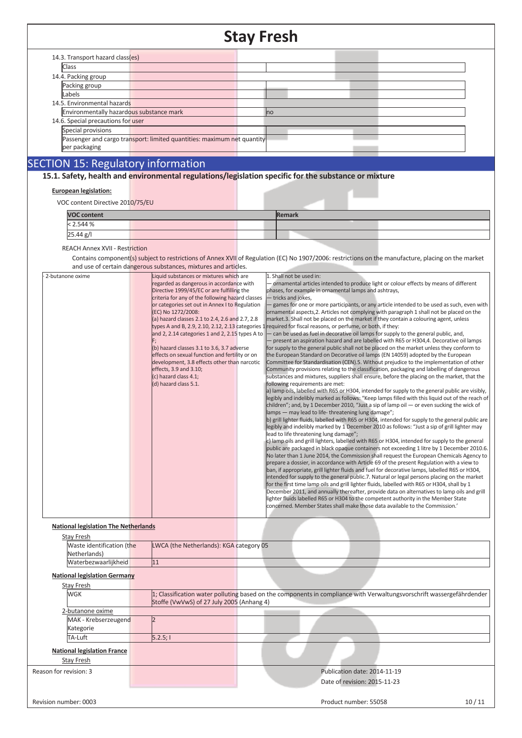#### **Stay Fresh**  14.3. Transport hazard class(es) **Class** 14.4. Packing group Packing group Labels 14.5. Environmental hazards Environmentally hazardous substance mark now all the match of the non-14.6. Special precautions for user Special provisions Passenger and cargo transport: limited quantities: maximum net quantity per packaging SECTION 15: Regulatory information **15.1. Safety, health and environmental regulations/legislation specific for the substance or mixture European legislation:**  VOC content Directive 2010/75/EU **VOC content** Remark < 2.544 %  $25.44$   $g/I$ REACH Annex XVII - Restriction Contains component(s) subject to restrictions of Annex XVII of Regulation (EC) No 1907/2006: restrictions on the manufacture, placing on the market and use of certain dangerous substances, mixtures and articles. 2-butanone oxime regarded as dangerous in accordance with Directive 1999/45/EC or are fulfilling the criteria for any of the following hazard classes or categories set out in Annex I to Regulation (EC) No 1272/2008: (a) hazard classes 2.1 to 2.4, 2.6 and 2.7, 2.8 types A and B, 2.9, 2.10, 2.12, 2.13 categories 1 required for fiscal reasons, or perfume, or both, if they: and 2, 2.14 categories 1 and 2, 2.15 types A to F; (b) hazard classes 3.1 to 3.6, 3.7 adverse effects on sexual function and fertility or on development, 3.8 effects other than narcotic effects, 3.9 and 3.10; (c) hazard class 4.1; (d) hazard class 5.1. 1. Shall not be used in: - ornamental articles intended to produce light or colour effects by means of different phases, for example in ornamental lamps and ashtrays, - tricks and jokes, games for one or more participants, or any article intended to be used as such, even with ornamental aspects,2. Articles not complying with paragraph 1 shall not be placed on the market.3. Shall not be placed on the market if they contain a colouring agent, unless - can be used as fuel in decorative oil lamps for supply to the general public, and, - present an aspiration hazard and are labelled with R65 or H304,4. Decorative oil lamps for supply to the general public shall not be placed on the market unless they conform to the European Standard on Decorative oil lamps (EN 14059) adopted by the European Committee for Standardisation (CEN).5. Without prejudice to the implementation of other Community provisions relating to the classification, packaging and labelling of dangerous substances and mixtures, suppliers shall ensure, before the placing on the market, that the following requirements are met: a) lamp oils, labelled with R65 or H304, intended for supply to the general public are visibly, legibly and indelibly marked as follows: "Keep lamps filled with this liquid out of the reach of children"; and, by 1 December 2010, "Just a sip of lamp oil  $-$  or even sucking the wick of lamps – may lead to life- threatening lung damage<sup>"</sup>; b) grill lighter fluids, labelled with R65 or H304, intended for supply to the general public are legibly and indelibly marked by 1 December 2010 as follows: "Just a sip of grill lighter may lead to life threatening lung damage" c) lamp oils and grill lighters, labelled with R65 or H304, intended for supply to the general public are packaged in black opaque containers not exceeding 1 litre by 1 December 2010.6. No later than 1 June 2014, the Commission shall request the European Chemicals Agency to prepare a dossier, in accordance with Article 69 of the present Regulation with a view to ban, if appropriate, grill lighter fluids and fuel for decorative lamps, labelled R65 or H304, intended for supply to the general public.7. Natural or legal persons placing on the market for the first time lamp oils and grill lighter fluids, labelled with R65 or H304, shall by 1 December 2011, and annually thereafter, provide data on alternatives to lamp oils and grill lighter fluids labelled R65 or H304 to the competent authority in the Member State concerned. Member States shall make those data available to the Commission.<sup>'</sup> **National legislation The Netherlands** Stay Fresh Waste identification (the Netherlands) LWCA (the Netherlands): KGA category 05 Waterbezwaarlijkheid 11 **National legislation Germany Stay Fresh** 1; Classification water polluting based on the components in compliance with Verwaltungsvorschrift wassergefährdender Stoffe (VwVwS) of 27 July 2005 (Anhang 4) 2-butanone oxime MAK - Krebserzeugend Kategorie 2 TA-Luft 5.2.5; I **National legislation France**  Stay Fresh Reason for revision: 3 Publication date: 2014-11-19 Date of revision: 2015-11-23 Revision number: 0003 10 / 11